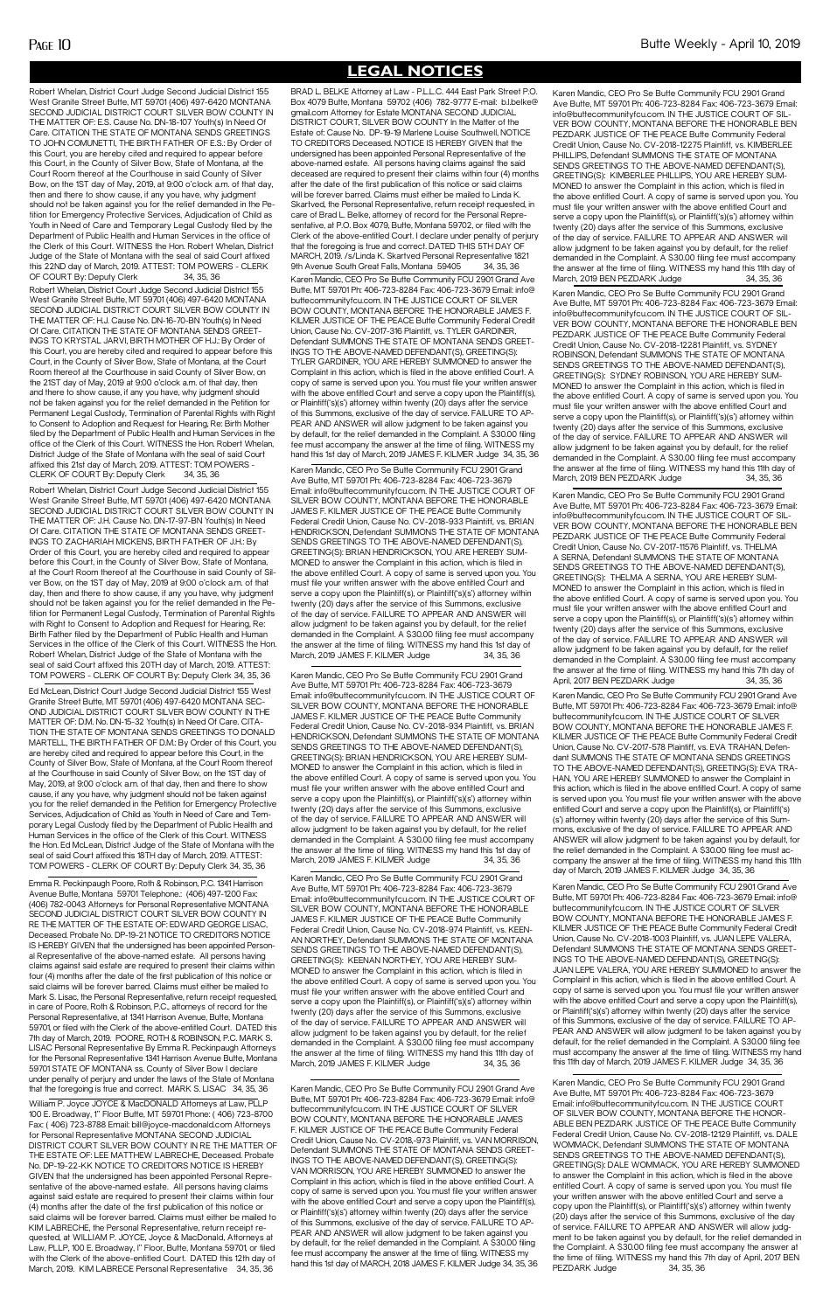**LEGAL NOTICES**

Karen Mandic, CEO Pro Se Butte Community FCU 2901 Grand Ave Butte, MT 59701 Ph: 406-723-8284 Fax: 406-723-3679 Email: info@ buttecommunityfcu.com. IN THE JUSTICE COURT OF SILVER BOW COUNTY, MONTANA BEFORE THE HONORABLE JAMES F. KILMER JUSTICE OF THE PEACE Butte Community Federal Credit Union, Cause No. CV-2018,-973 Plaintiff, vs. VAN MORRISON, Defendant SUMMONS THE STATE OF MONTANA SENDS GREET-INGS TO THE ABOVE-NAMED DEFENDANT(S), GREETING(S): VAN MORRISON, YOU ARE HEREBY SUMMONED to answer the Complaint in this action, which is filed in the above entitled Court. A copy of same is served upon you. You must file your written answer with the above entitled Court and serve a copy upon the Plaintiff(s), or Plaintiff('s)(s') attorney within twenty (20) days after the service of this Summons, exclusive of the day of service. FAILURE TO AP-PEAR AND ANSWER will allow judgment to be taken against you by default, for the relief demanded in the Complaint. A \$30.00 filing fee must accompany the answer at the time of filing. WITNESS my hand this 1st day of MARCH, 2018 JAMES F. KILMER Judge 34, 35, 36

BRAD L. BELKE Attorney at Law - P.L.L.C. 444 East Park Street P.O. Box 4079 Butte, Montana 59702 (406) 782-9777 E-mail: b.l.belke@ gmail.com Attorney for Estate MONTANA SECOND JUDICIAL DISTRICT COURT, SILVER BOW COUNTY In the Matter of the Estate of: Cause No. DP-19-19 Marlene Louise Southwell, NOTICE TO CREDITORS Deceased. NOTICE IS HEREBY GIVEN that the undersigned has been appointed Personal Representative of the above-named estate. All persons having claims against the said deceased are required to present their claims within four (4) months after the date of the first publication of this notice or said claims will be forever barred. Claims must either be mailed to Linda K. Skartved, the Personal Representative, return receipt requested, in care of Brad L. Belke, attorney of record for the Personal Representative, at P.O. Box 4079, Butte, Montana 59702, or filed with the Clerk of the above-entitled Court. I declare under penalty of perjury that the foregoing is true and correct. DATED THIS 5TH DAY OF MARCH, 2019. /s/Linda K. Skartved Personal Representative 1821 9th Avenue South Great Falls, Montana 59405 34, 35, 36

Karen Mandic, CEO Pro Se Butte Community FCU 2901 Grand Ave Butte, MT 59701 Ph: 406-723-8284 Fax: 406-723-3679 Email: info@buttecommunityfcu.com. IN THE JUSTICE COURT OF SILVER BOW COUNTY, MONTANA BEFORE THE HONORABLE JAMES F. KILMER JUSTICE OF THE PEACE Butte Community Federal Credit Union, Cause No. CV-2018-933 Plaintiff, vs. BRIAN HENDRICKSON, Defendant SUMMONS THE STATE OF MONTANA SENDS GREETINGS TO THE ABOVE-NAMED DEFENDANT(S), GREETING(S): BRIAN HENDRICKSON, YOU ARE HEREBY SUM-MONED to answer the Complaint in this action, which is filed in the above entitled Court. A copy of same is served upon you. You must file your written answer with the above entitled Court and serve a copy upon the Plaintiff(s), or Plaintiff('s)(s') attorney within twenty (20) days after the service of this Summons, exclusive of the day of service. FAILURE TO APPEAR AND ANSWER will allow judgment to be taken against you by default, for the relief demanded in the Complaint. A \$30.00 filing fee must accompany the answer at the time of filing. WITNESS my hand this 1st day of March, 2019 JAMES F. KILMER Judge 34, 35, 36

Karen Mandic, CEO Pro Se Butte Community FCU 2901 Grand Ave Butte, MT 59701 Ph: 406-723-8284 Fax: 406-723-3679 Email: info@buttecommunityfcu.com. IN THE JUSTICE COURT OF SILVER BOW COUNTY, MONTANA BEFORE THE HONORABLE JAMES F. KILMER JUSTICE OF THE PEACE Butte Community Federal Credit Union, Cause No. CV-2018-934 Plaintiff, vs. BRIAN HENDRICKSON, Defendant SUMMONS THE STATE OF MONTANA SENDS GREETINGS TO THE ABOVE-NAMED DEFENDANT(S), GREETING(S): BRIAN HENDRICKSON, YOU ARE HEREBY SUM-MONED to answer the Complaint in this action, which is filed in the above entitled Court. A copy of same is served upon you. You must file your written answer with the above entitled Court and serve a copy upon the Plaintiff(s), or Plaintiff('s)(s') attorney within twenty (20) days after the service of this Summons, exclusive of the day of service. FAILURE TO APPEAR AND ANSWER will allow judgment to be taken against you by default, for the relief demanded in the Complaint. A \$30.00 filing fee must accompany the answer at the time of filing. WITNESS my hand this 1st day of March, 2019 JAMES F. KILMER Judge 34, 35, 36

Karen Mandic, CEO Pro Se Butte Community FCU 2901 Grand Ave Butte, MT 59701 Ph: 406-723-8284 Fax: 406-723-3679 Email: info@buttecommunityfcu.com. IN THE JUSTICE COURT OF SILVER BOW COUNTY, MONTANA BEFORE THE HONORABLE JAMES F. KILMER JUSTICE OF THE PEACE Butte Community Federal Credit Union, Cause No. CV-2018-974 Plaintiff, vs. KFFN-AN NORTHEY, Defendant SUMMONS THE STATE OF MONTANA SENDS GREETINGS TO THE ABOVE-NAMED DEFENDANT(S), GREETING(S): KEENAN NORTHEY, YOU ARE HEREBY SUM-MONED to answer the Complaint in this action, which is filed in the above entitled Court. A copy of same is served upon you. You must file your written answer with the above entitled Court and serve a copy upon the Plaintiff(s), or Plaintiff('s)(s') attorney within twenty (20) days after the service of this Summons, exclusive of the day of service. FAILURE TO APPEAR AND ANSWER will allow judgment to be taken against you by default, for the relief demanded in the Complaint. A \$30.00 filing fee must accompany the answer at the time of filing. WITNESS my hand this 11th day of March, 2019 JAMES F. KILMER Judge 34, 35, 36

Karen Mandic, CEO Pro Se Butte Community FCU 2901 Grand Ave Butte, MT 59701 Ph: 406-723-8284 Fax: 406-723-3679 Email: info@buttecommunityfcu.com. IN THE JUSTICE COURT OF SIL-VER BOW COUNTY, MONTANA BEFORE THE HONORABLE BEN PEZDARK JUSTICE OF THE PEACE Butte Community Federal Credit Union, Cause No. CV-2018-12275 Plaintiff, vs. KIMBERLEE PHILLIPS, Defendant SUMMONS THE STATE OF MONTANA SENDS GREETINGS TO THE ABOVE-NAMED DEFENDANT(S), GREETING(S): KIMBERLEE PHILLIPS, YOU ARE HEREBY SUM-MONED to answer the Complaint in this action, which is filed in the above entitled Court. A copy of same is served upon you. You must file your written answer with the above entitled Court and serve a copy upon the Plaintiff(s), or Plaintiff('s)(s') attorney within twenty (20) days after the service of this Summons, exclusive of the day of service. FAILURE TO APPEAR AND ANSWER will allow judgment to be taken against you by default, for the relief demanded in the Complaint. A \$30.00 filing fee must accompany the answer at the time of filing. WITNESS my hand this 11th day of March, 2019 BEN PEZDARK Judge 34, 35, 36

Karen Mandic, CEO Pro Se Butte Community FCU 2901 Grand Ave Butte, MT 59701 Ph: 406-723-8284 Fax: 406-723-3679 Email: info@ buttecommunityfcu.com. IN THE JUSTICE COURT OF SILVER BOW COUNTY, MONTANA BEFORE THE HONORABLE JAMES F. KILMER JUSTICE OF THE PEACE Butte Community Federal Credit Union, Cause No. CV-2017-316 Plaintiff, vs. TYLER GARDINER, Defendant SUMMONS THE STATE OF MONTANA SENDS GREET-INGS TO THE ABOVE-NAMED DEFENDANT(S), GREETING(S): TYLER GARDINER, YOU ARE HEREBY SUMMONED to answer the Complaint in this action, which is filed in the above entitled Court. A copy of same is served upon you. You must file your written answer with the above entitled Court and serve a copy upon the Plaintiff(s), or Plaintiff('s)(s') attorney within twenty (20) days after the service of this Summons, exclusive of the day of service. FAILURE TO AP-PEAR AND ANSWER will allow judgment to be taken against you by default, for the relief demanded in the Complaint. A \$30.00 filing fee must accompany the answer at the time of filing. WITNESS my hand this 1st day of March, 2019 JAMES F. KILMER Judge 34, 35, 36

Karen Mandic, CEO Pro Se Butte Community FCU 2901 Grand Ave Butte, MT 59701 Ph: 406-723-8284 Fax: 406-723-3679 Email: info@buttecommunityfcu.com. IN THE JUSTICE COURT OF SIL-VER BOW COUNTY, MONTANA BEFORE THE HONORABLE BEN PEZDARK JUSTICE OF THE PEACE Butte Community Federal Credit Union, Cause No. CV-2018-12281 Plaintiff, vs. SYDNEY ROBINSON, Defendant SUMMONS THE STATE OF MONTANA SENDS GREETINGS TO THE ABOVE-NAMED DEFENDANT(S), GREETING(S): SYDNEY ROBINSON, YOU ARE HEREBY SUM-MONED to answer the Complaint in this action, which is filed in the above entitled Court. A copy of same is served upon you. You must file your written answer with the above entitled Court and serve a copy upon the Plaintiff(s), or Plaintiff('s)(s') attorney within twenty (20) days after the service of this Summons, exclusive of the day of service. FAILURE TO APPEAR AND ANSWER will allow judgment to be taken against you by default, for the relief demanded in the Complaint. A \$30.00 filing fee must accompany the answer at the time of filing. WITNESS my hand this 11th day of March, 2019 BEN PEZDARK Judge 34, 35, 36

Karen Mandic, CEO Pro Se Butte Community FCU 2901 Grand Ave Butte, MT 59701 Ph: 406-723-8284 Fax: 406-723-3679 Email: info@buttecommunityfcu.com. IN THE JUSTICE COURT OF SIL-VER BOW COUNTY, MONTANA BEFORE THE HONORABLE BEN PEZDARK JUSTICE OF THE PEACE Butte Community Federal Credit Union, Cause No. CV-2017-11576 Plaintiff, vs. THELMA A SERNA, Defendant SUMMONS THE STATE OF MONTANA SENDS GREETINGS TO THE ABOVE-NAMED DEFENDANT(S), GREETING(S): THELMA A SERNA, YOU ARE HEREBY SUM-MONED to answer the Complaint in this action, which is filed in the above entitled Court. A copy of same is served upon you. You must file your written answer with the above entitled Court and serve a copy upon the Plaintiff(s), or Plaintiff('s)(s') attorney within twenty (20) days after the service of this Summons, exclusive of the day of service. FAILURE TO APPEAR AND ANSWER will allow judgment to be taken against you by default, for the relief demanded in the Complaint. A \$30.00 filing fee must accompany the answer at the time of filing. WITNESS my hand this 7th day of April, 2017 BEN PEZDARK Judge 34, 35, 36

Karen Mandic, CEO Pro Se Butte Community FCU 2901 Grand Ave Butte, MT 59701 Ph: 406-723-8284 Fax: 406-723-3679 Email: info@buttecommunityfcu.com. IN THE JUSTICE COURT OF SILVER BOW COUNTY, MONTANA BEFORE THE HONOR-ABLE BEN PEZDARK JUSTICE OF THE PEACE Butte Community Federal Credit Union, Cause No. CV-2018-12129 Plaintiff, vs. DALE WOMMACK, Defendant SUMMONS THE STATE OF MONTANA SENDS GREETINGS TO THE ABOVE-NAMED DEFENDANT(S), GREETING(S): DALE WOMMACK, YOU ARE HEREBY SUMMONED to answer the Complaint in this action, which is filed in the above entitled Court. A copy of same is served upon you. You must file your written answer with the above entitled Court and serve a copy upon the Plaintiff(s), or Plaintiff('s)(s') attorney within twenty (20) days after the service of this Summons, exclusive of the day of service. FAILURE TO APPEAR AND ANSWER will allow judgment to be taken against you by default, for the relief demanded in the Complaint. A \$30.00 filing fee must accompany the answer at the time of filing. WITNESS my hand this 7th day of April, 2017 BEN PEZDARK Judge 34, 35, 36

Robert Whelan, District Court Judge Second Judicial District 155 Robert Whelan, District Court Judge Second Judicial District 155 West Granite Street Butte, MT 59701 (406) 497-6420 MONTANA SECOND JUDICIAL DISTRICT COURT SILVER BOW COUNTY IN THE MATTER OF: E.S. Cause No. DN-18-107 Youth(s) In Need Of Care. CITATION THE STATE OF MONTANA SENDS GREETINGS TO JOHN COMUNETTI, THE BIRTH FATHER OF E.S.: By Order of this Court, you are hereby cited and required to appear before this Court, in the County of Silver Bow, State of Montana, at the Court Room thereof at the Courthouse in said County of Silver Bow, on the 1ST day of May, 2019, at 9:00 o'clock a.m. of that day, then and there to show cause, if any you have, why judgment should not be taken against you for the relief demanded in the Petition for Emergency Protective Services, Adjudication of Child as Youth in Need of Care and Temporary Legal Custody filed by the Department of Public Health and Human Services in the office of the Clerk of this Court. WITNESS the Hon. Robert Whelan, District Judge of the State of Montana with the seal of said Court affixed this 22ND day of March, 2019. ATTEST: TOM POWERS - CLERK OF COURT By: Deputy Clerk 34, 35, 36

Emma R. Peckinpaugh Poore, Roth & Robinson, P.C. 1341 Harrison Avenue Butte, Montana 59701 Telephone.: (406) 497-1200 Fax: (406) 782-0043 Attorneys for Personal Representative MONTANA SECOND JUDICIAL DISTRICT COURT SILVER BOW COUNTY IN RE THE MATTER OF THE ESTATE OF: EDWARD GEORGE LISAC, Deceased. Probate No. DP-19-21 NOTICE TO CREDITORS NOTICE IS HEREBY GIVEN that the undersigned has been appointed Personal Representative of the above-named estate. All persons having claims against said estate are required to present their claims within four (4) months after the date of the first publication of this notice or said claims will be forever barred. Claims must either be mailed to Mark S. Lisac, the Personal Representative, return receipt requested, in care of Poore, Roth & Robinson, P.C., attorneys of record for the Personal Representative, at 1341 Harrison Avenue, Butte, Montana 59701, or filed with the Clerk of the above-entitled Court. DATED this 7th day of March, 2019. POORE, ROTH & ROBINSON, P.C. MARK S. LISAC Personal Representative By Emma R. Peckinpaugh Attorneys for the Personal Representative 1341 Harrison Avenue Butte, Montana 59701 STATE OF MONTANA ss. County of Silver Bow I declare under penalty of perjury and under the laws of the State of Montana that the foregoing is true and correct. MARK S. LISAC 34, 35, 36 William P. Joyce JOYCE & MacDONALD Attorneys at Law, PLLP 100 E. Broadway, 1" Floor Butte, MT 59701 Phone: ( 406) 723-8700 Fax: ( 406) 723-8788 Email: bill@joyce-macdonald.com Attorneys for Personal Representative MONTANA SECOND JUDICIAL DISTRICT COURT SILVER BOW COUNTY IN RE THE MATTER OF THE ESTATE OF: LEE MATTHEW LABRECHE, Deceased. Probate No. DP-19-22-KK NOTICE TO CREDITORS NOTICE IS HEREBY GIVEN that the undersigned has been appointed Personal Representative of the above-named estate. All persons having claims against said estate are required to present their claims within four (4) months after the date of the first publication of this notice or said claims will be forever barred. Claims must either be mailed to KIM LABRECHE, the Personal Representative, return receipt requested, at WILLIAM P. JOYCE, Joyce & MacDonald, Attorneys at Law, PLLP, 100 E. Broadway, I'' Floor, Butte, Montana 59701, or filed with the Clerk of the above-entitled Court. DATED this 12th day of March, 2019. KIM LABRECE Personal Representative 34, 35, 36

Karen Mandic, CEO Pro Se Butte Community FCU 2901 Grand Ave Butte, MT 59701 Ph: 406-723-8284 Fax: 406-723-3679 Email: info@ buttecommunityfcu.com. IN THE JUSTICE COURT OF SILVER BOW COUNTY, MONTANA BEFORE THE HONORABLE JAMES F. KILMER JUSTICE OF THE PEACE Butte Community Federal Credit Union, Cause No. CV-2017-578 Plaintiff, vs. EVA TRAHAN, Defendant SUMMONS THE STATE OF MONTANA SENDS GREETINGS TO THE ABOVE-NAMED DEFENDANT(S), GREETING(S): EVA TRA-HAN, YOU ARE HEREBY SUMMONED to answer the Complaint in this action, which is filed in the above entitled Court. A copy of same is served upon you. You must file your written answer with the above entitled Court and serve a copy upon the Plaintiff(s), or Plaintiff('s) (s') attorney within twenty (20) days after the service of this Summons, exclusive of the day of service. FAILURE TO APPEAR AND ANSWER will allow judgment to be taken against you by default, for the relief demanded in the Complaint. A \$30.00 filing fee must accompany the answer at the time of filing. WITNESS my hand this 11th day of March, 2019 JAMES F. KILMER Judge 34, 35, 36

Karen Mandic, CEO Pro Se Butte Community FCU 2901 Grand Ave Butte, MT 59701 Ph: 406-723-8284 Fax: 406-723-3679 Email: info@ buttecommunityfcu.com. IN THE JUSTICE COURT OF SILVER BOW COUNTY, MONTANA BEFORE THE HONORABLE JAMES F. KILMER JUSTICE OF THE PEACE Butte Community Federal Credit Union, Cause No. CV-2018-1003 Plaintiff, vs. JUAN LEPE VALERA, Defendant SUMMONS THE STATE OF MONTANA SENDS GREET-INGS TO THE ABOVE-NAMED DEFENDANT(S), GREETING(S): JUAN LEPE VALERA, YOU ARE HEREBY SUMMONED to answer the Complaint in this action, which is filed in the above entitled Court. A copy of same is served upon you. You must file your written answer with the above entitled Court and serve a copy upon the Plaintiff(s), or Plaintiff('s)(s') attorney within twenty (20) days after the service of this Summons, exclusive of the day of service. FAILURE TO AP-PEAR AND ANSWER will allow judgment to be taken against you by default, for the relief demanded in the Complaint. A \$30.00 filing fee must accompany the answer at the time of filing. WITNESS my hand this 11th day of March, 2019 JAMES F. KILMER Judge 34, 35, 36

West Granite Street Butte, MT 59701 (406) 497-6420 MONTANA SECOND JUDICIAL DISTRICT COURT SILVER BOW COUNTY IN THE MATTER OF: H.J. Cause No. DN-16-70-BN Youth(s) In Need Of Care. CITATION THE STATE OF MONTANA SENDS GREET-INGS TO KRYSTAL JARVI, BIRTH MOTHER OF H.J.: By Order of this Court, you are hereby cited and required to appear before this Court, in the County of Silver Bow, State of Montana, at the Court Room thereof at the Courthouse in said County of Silver Bow, on the 21ST day of May, 2019 at 9:00 o'clock a.m. of that day, then and there to show cause, if any you have, why judgment should not be taken against you for the relief demanded in the Petition for Permanent Legal Custody, Termination of Parental Rights with Right to Consent to Adoption and Request for Hearing, Re: Birth Mother filed by the Department of Public Health and Human Services in the office of the Clerk of this Court. WITNESS the Hon. Robert Whelan, District Judge of the State of Montana with the seal of said Court affixed this 21st day of March, 2019. ATTEST: TOM POWERS - CLERK OF COURT By: Deputy Clerk 34, 35, 36

Robert Whelan, District Court Judge Second Judicial District 155 West Granite Street Butte, MT 59701 (406) 497-6420 MONTANA SECOND JUDICIAL DISTRICT COURT SILVER BOW COUNTY IN THE MATTER OF: J.H. Cause No. DN-17-97-BN Youth(s) In Need Of Care. CITATION THE STATE OF MONTANA SENDS GREET-INGS TO ZACHARIAH MICKENS, BIRTH FATHER OF J.H.: By Order of this Court, you are hereby cited and required to appear before this Court, in the County of Silver Bow, State of Montana, at the Court Room thereof at the Courthouse in said County of Silver Bow, on the 1ST day of May, 2019 at 9:00 o'clock a.m. of that day, then and there to show cause, if any you have, why judgment should not be taken against you for the relief demanded in the Petition for Permanent Legal Custody, Termination of Parental Rights with Right to Consent to Adoption and Request for Hearing, Re: Birth Father filed by the Department of Public Health and Human Services in the office of the Clerk of this Court. WITNESS the Hon. Robert Whelan, District Judge of the State of Montana with the seal of said Court affixed this 20TH day of March, 2019. ATTEST: TOM POWERS - CLERK OF COURT By: Deputy Clerk 34, 35, 36

Ed McLean, District Court Judge Second Judicial District 155 West Granite Street Butte, MT 59701 (406) 497-6420 MONTANA SEC-OND JUDICIAL DISTRICT COURT SILVER BOW COUNTY IN THE MATTER OF: D.M. No. DN-15-32 Youth(s) In Need Of Care. CITA-TION THE STATE OF MONTANA SENDS GREETINGS TO DONALD MARTELL, THE BIRTH FATHER OF D.M.: By Order of this Court, you are hereby cited and required to appear before this Court, in the County of Silver Bow, State of Montana, at the Court Room thereof at the Courthouse in said County of Silver Bow, on the 1ST day of May, 2019, at 9:00 o'clock a.m. of that day, then and there to show cause, if any you have, why judgment should not be taken against you for the relief demanded in the Petition for Emergency Protective Services, Adjudication of Child as Youth in Need of Care and Temporary Legal Custody filed by the Department of Public Health and Human Services in the office of the Clerk of this Court. WITNESS the Hon. Ed McLean, District Judge of the State of Montana with the seal of said Court affixed this 18TH day of March, 2019. ATTEST: TOM POWERS - CLERK OF COURT By: Deputy Clerk 34, 35, 36